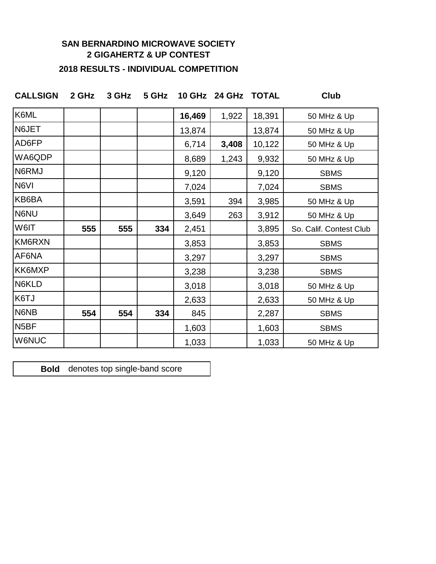# **SAN BERNARDINO MICROWAVE SOCIETY 2 GIGAHERTZ & UP CONTEST**

# **2018 RESULTS - INDIVIDUAL COMPETITION**

| <b>CALLSIGN</b>   | 2 GHz | 3 GHz | 5 GHz |        | 10 GHz 24 GHz | <b>TOTAL</b> | Club                    |  |
|-------------------|-------|-------|-------|--------|---------------|--------------|-------------------------|--|
| K6ML              |       |       |       | 16,469 | 1,922         | 18,391       | 50 MHz & Up             |  |
| N6JET             |       |       |       | 13,874 |               | 13,874       | 50 MHz & Up             |  |
| AD6FP             |       |       |       | 6,714  | 3,408         | 10,122       | 50 MHz & Up             |  |
| WA6QDP            |       |       |       | 8,689  | 1,243         | 9,932        | 50 MHz & Up             |  |
| N6RMJ             |       |       |       | 9,120  |               | 9,120        | <b>SBMS</b>             |  |
| N6VI              |       |       |       | 7,024  |               | 7,024        | <b>SBMS</b>             |  |
| KB6BA             |       |       |       | 3,591  | 394           | 3,985        | 50 MHz & Up             |  |
| N6NU              |       |       |       | 3,649  | 263           | 3,912        | 50 MHz & Up             |  |
| W6IT              | 555   | 555   | 334   | 2,451  |               | 3,895        | So. Calif. Contest Club |  |
| <b>KM6RXN</b>     |       |       |       | 3,853  |               | 3,853        | <b>SBMS</b>             |  |
| AF6NA             |       |       |       | 3,297  |               | 3,297        | <b>SBMS</b>             |  |
| KK6MXP            |       |       |       | 3,238  |               | 3,238        | <b>SBMS</b>             |  |
| N6KLD             |       |       |       | 3,018  |               | 3,018        | 50 MHz & Up             |  |
| K6TJ              |       |       |       | 2,633  |               | 2,633        | 50 MHz & Up             |  |
| N6NB              | 554   | 554   | 334   | 845    |               | 2,287        | <b>SBMS</b>             |  |
| N <sub>5</sub> BF |       |       |       | 1,603  |               | 1,603        | <b>SBMS</b>             |  |
| <b>W6NUC</b>      |       |       |       | 1,033  |               | 1,033        | 50 MHz & Up             |  |

**Bold** denotes top single-band score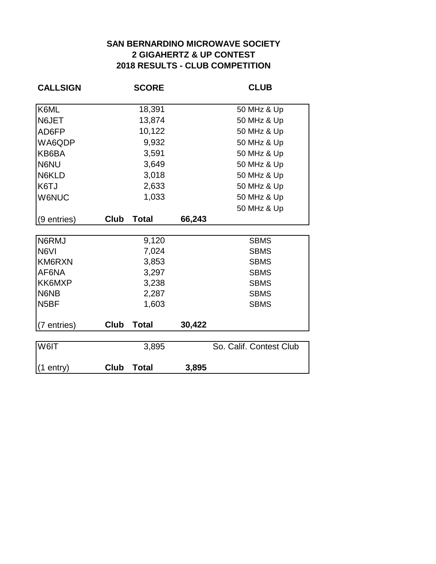### **2018 RESULTS - CLUB COMPETITION SAN BERNARDINO MICROWAVE SOCIETY 2 GIGAHERTZ & UP CONTEST**

| <b>CALLSIGN</b>   | <b>SCORE</b> |              | <b>CLUB</b> |                         |  |
|-------------------|--------------|--------------|-------------|-------------------------|--|
| K6ML              |              | 18,391       |             | 50 MHz & Up             |  |
| N6JET             |              | 13,874       |             | 50 MHz & Up             |  |
| AD6FP             |              | 10,122       |             | 50 MHz & Up             |  |
| WA6QDP            |              | 9,932        |             | 50 MHz & Up             |  |
| KB6BA             |              | 3,591        |             | 50 MHz & Up             |  |
| N6NU              |              | 3,649        |             | 50 MHz & Up             |  |
| N6KLD             |              | 3,018        |             | 50 MHz & Up             |  |
| K6TJ              |              | 2,633        |             | 50 MHz & Up             |  |
| <b>W6NUC</b>      |              | 1,033        |             | 50 MHz & Up             |  |
|                   |              |              |             | 50 MHz & Up             |  |
| (9 entries)       | <b>Club</b>  | <b>Total</b> | 66,243      |                         |  |
|                   |              |              |             |                         |  |
| N6RMJ             |              | 9,120        |             | <b>SBMS</b>             |  |
| N6VI              |              | 7,024        |             | <b>SBMS</b>             |  |
| KM6RXN            |              | 3,853        |             | <b>SBMS</b>             |  |
| AF6NA             |              | 3,297        |             | <b>SBMS</b>             |  |
| <b>KK6MXP</b>     |              | 3,238        |             | <b>SBMS</b>             |  |
| N6NB              |              | 2,287        |             | <b>SBMS</b>             |  |
| N <sub>5</sub> BF |              | 1,603        |             | <b>SBMS</b>             |  |
| (7 entries)       | <b>Club</b>  | <b>Total</b> | 30,422      |                         |  |
| W6IT              |              |              |             | So. Calif. Contest Club |  |
|                   |              | 3,895        |             |                         |  |
| $(1$ entry)       | <b>Club</b>  | <b>Total</b> | 3,895       |                         |  |